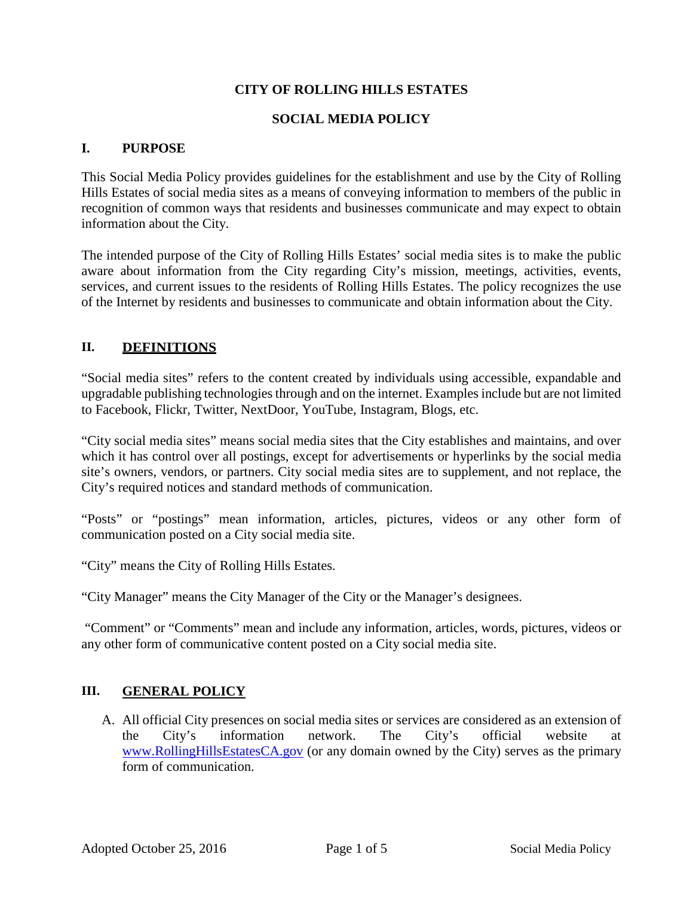## **CITY OF ROLLING HILLS ESTATES**

#### **SOCIAL MEDIA POLICY**

#### **I. PURPOSE**

This Social Media Policy provides guidelines for the establishment and use by the City of Rolling Hills Estates of social media sites as a means of conveying information to members of the public in recognition of common ways that residents and businesses communicate and may expect to obtain information about the City.

The intended purpose of the City of Rolling Hills Estates' social media sites is to make the public aware about information from the City regarding City's mission, meetings, activities, events, services, and current issues to the residents of Rolling Hills Estates. The policy recognizes the use of the Internet by residents and businesses to communicate and obtain information about the City.

## **II. DEFINITIONS**

"Social media sites" refers to the content created by individuals using accessible, expandable and upgradable publishing technologies through and on the internet. Examples include but are not limited to Facebook, Flickr, Twitter, NextDoor, YouTube, Instagram, Blogs, etc.

"City social media sites" means social media sites that the City establishes and maintains, and over which it has control over all postings, except for advertisements or hyperlinks by the social media site's owners, vendors, or partners. City social media sites are to supplement, and not replace, the City's required notices and standard methods of communication.

"Posts" or "postings" mean information, articles, pictures, videos or any other form of communication posted on a City social media site.

"City" means the City of Rolling Hills Estates.

"City Manager" means the City Manager of the City or the Manager's designees.

"Comment" or "Comments" mean and include any information, articles, words, pictures, videos or any other form of communicative content posted on a City social media site.

#### **III. GENERAL POLICY**

A. All official City presences on social media sites or services are considered as an extension of the City's information network. The City's official website [www.RollingHillsEstatesCA.gov](http://www.rollinghillsestatesca.gov/) (or any domain owned by the City) serves as the primary form of communication.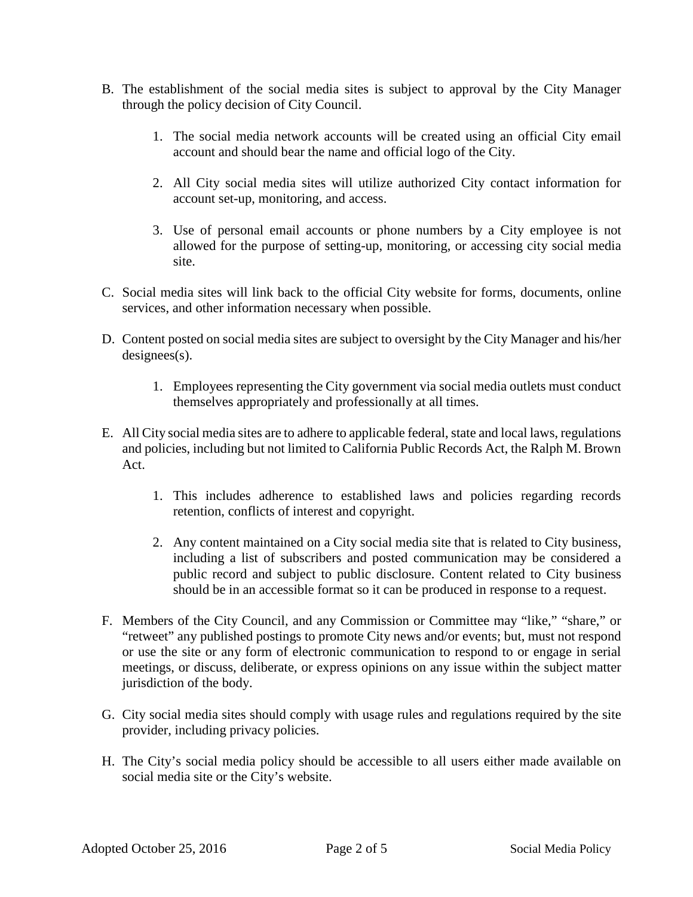- B. The establishment of the social media sites is subject to approval by the City Manager through the policy decision of City Council.
	- 1. The social media network accounts will be created using an official City email account and should bear the name and official logo of the City.
	- 2. All City social media sites will utilize authorized City contact information for account set-up, monitoring, and access.
	- 3. Use of personal email accounts or phone numbers by a City employee is not allowed for the purpose of setting-up, monitoring, or accessing city social media site.
- C. Social media sites will link back to the official City website for forms, documents, online services, and other information necessary when possible.
- D. Content posted on social media sites are subject to oversight by the City Manager and his/her designees(s).
	- 1. Employees representing the City government via social media outlets must conduct themselves appropriately and professionally at all times.
- E. All City social media sites are to adhere to applicable federal, state and local laws, regulations and policies, including but not limited to California Public Records Act, the Ralph M. Brown Act.
	- 1. This includes adherence to established laws and policies regarding records retention, conflicts of interest and copyright.
	- 2. Any content maintained on a City social media site that is related to City business, including a list of subscribers and posted communication may be considered a public record and subject to public disclosure. Content related to City business should be in an accessible format so it can be produced in response to a request.
- F. Members of the City Council, and any Commission or Committee may "like," "share," or "retweet" any published postings to promote City news and/or events; but, must not respond or use the site or any form of electronic communication to respond to or engage in serial meetings, or discuss, deliberate, or express opinions on any issue within the subject matter jurisdiction of the body.
- G. City social media sites should comply with usage rules and regulations required by the site provider, including privacy policies.
- H. The City's social media policy should be accessible to all users either made available on social media site or the City's website.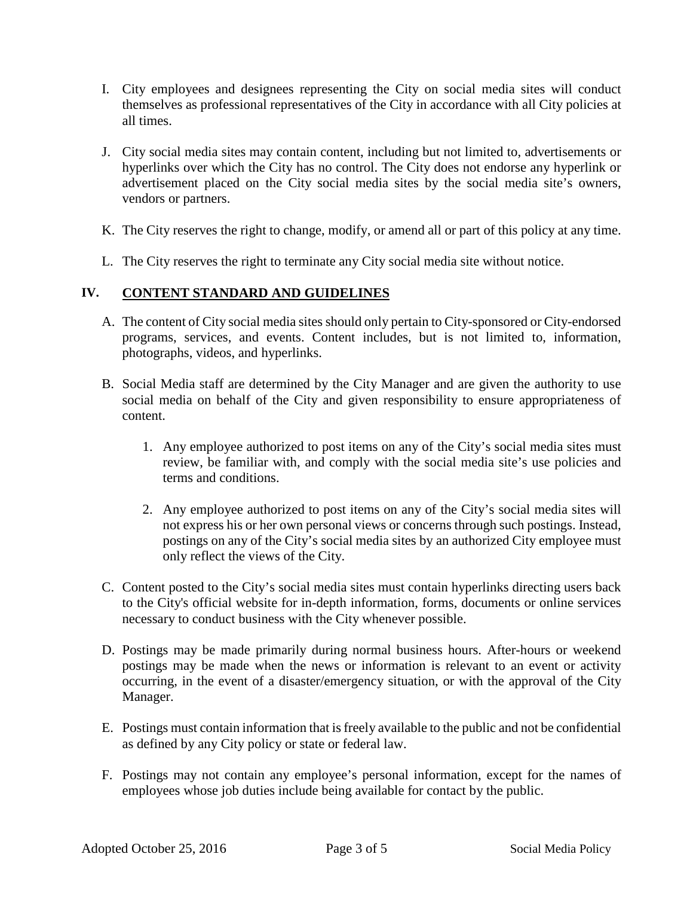- I. City employees and designees representing the City on social media sites will conduct themselves as professional representatives of the City in accordance with all City policies at all times.
- J. City social media sites may contain content, including but not limited to, advertisements or hyperlinks over which the City has no control. The City does not endorse any hyperlink or advertisement placed on the City social media sites by the social media site's owners, vendors or partners.
- K. The City reserves the right to change, modify, or amend all or part of this policy at any time.
- L. The City reserves the right to terminate any City social media site without notice.

## **IV. CONTENT STANDARD AND GUIDELINES**

- A. The content of City social media sites should only pertain to City-sponsored or City-endorsed programs, services, and events. Content includes, but is not limited to, information, photographs, videos, and hyperlinks.
- B. Social Media staff are determined by the City Manager and are given the authority to use social media on behalf of the City and given responsibility to ensure appropriateness of content.
	- 1. Any employee authorized to post items on any of the City's social media sites must review, be familiar with, and comply with the social media site's use policies and terms and conditions.
	- 2. Any employee authorized to post items on any of the City's social media sites will not express his or her own personal views or concerns through such postings. Instead, postings on any of the City's social media sites by an authorized City employee must only reflect the views of the City.
- C. Content posted to the City's social media sites must contain hyperlinks directing users back to the City's official website for in-depth information, forms, documents or online services necessary to conduct business with the City whenever possible.
- D. Postings may be made primarily during normal business hours. After-hours or weekend postings may be made when the news or information is relevant to an event or activity occurring, in the event of a disaster/emergency situation, or with the approval of the City Manager.
- E. Postings must contain information that is freely available to the public and not be confidential as defined by any City policy or state or federal law.
- F. Postings may not contain any employee's personal information, except for the names of employees whose job duties include being available for contact by the public.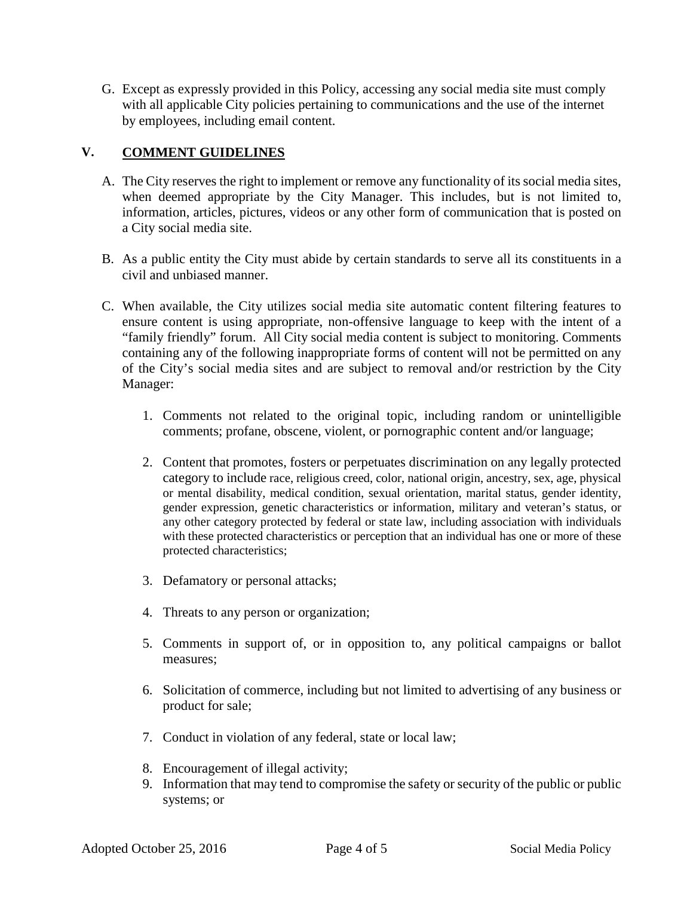G. Except as expressly provided in this Policy, accessing any social media site must comply with all applicable City policies pertaining to communications and the use of the internet by employees, including email content.

# **V. COMMENT GUIDELINES**

- A. The City reserves the right to implement or remove any functionality of its social media sites, when deemed appropriate by the City Manager. This includes, but is not limited to, information, articles, pictures, videos or any other form of communication that is posted on a City social media site.
- B. As a public entity the City must abide by certain standards to serve all its constituents in a civil and unbiased manner.
- C. When available, the City utilizes social media site automatic content filtering features to ensure content is using appropriate, non-offensive language to keep with the intent of a "family friendly" forum. All City social media content is subject to monitoring. Comments containing any of the following inappropriate forms of content will not be permitted on any of the City's social media sites and are subject to removal and/or restriction by the City Manager:
	- 1. Comments not related to the original topic, including random or unintelligible comments; profane, obscene, violent, or pornographic content and/or language;
	- 2. Content that promotes, fosters or perpetuates discrimination on any legally protected category to include race, religious creed, color, national origin, ancestry, sex, age, physical or mental disability, medical condition, sexual orientation, marital status, gender identity, gender expression, genetic characteristics or information, military and veteran's status, or any other category protected by federal or state law, including association with individuals with these protected characteristics or perception that an individual has one or more of these protected characteristics;
	- 3. Defamatory or personal attacks;
	- 4. Threats to any person or organization;
	- 5. Comments in support of, or in opposition to, any political campaigns or ballot measures;
	- 6. Solicitation of commerce, including but not limited to advertising of any business or product for sale;
	- 7. Conduct in violation of any federal, state or local law;
	- 8. Encouragement of illegal activity;
	- 9. Information that may tend to compromise the safety or security of the public or public systems; or